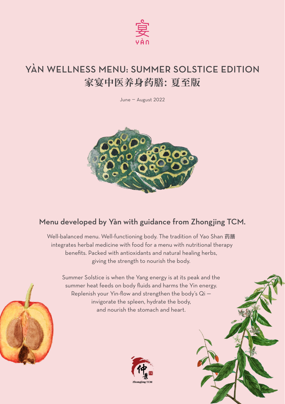

# YÀN WELLNESS MENU: SUMMER SOLSTICE EDITION **家宴中医养身药膳: 夏至版**

June — August 2022



## Menu developed by Yàn with guidance from Zhongjing TCM.

Well-balanced menu. Well-functioning body. The tradition of Yao Shan 药膳 integrates herbal medicine with food for a menu with nutritional therapy benefits. Packed with antioxidants and natural healing herbs, giving the strength to nourish the body.

Summer Solstice is when the Yang energy is at its peak and the summer heat feeds on body fluids and harms the Yin energy. Replenish your Yin-flow and strengthen the body's Qi invigorate the spleen, hydrate the body, and nourish the stomach and heart.





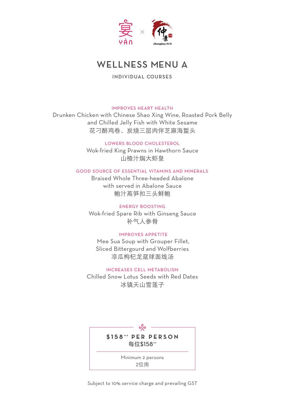

## WELLNESS MENU A

INDIVIDUAL COURSES

#### improves heart health

Drunken Chicken with Chinese Shao Xing Wine, Roasted Pork Belly and Chilled Jelly Fish with White Sesame 花刁醉鸡卷,炭烧三层肉伴芝麻海蜇头

lowers blood cholesterol

Wok-fried King Prawns in Hawthorn Sauce 山楂汁焗大虾皇

## good source of essential vitamins and minerals

Braised Whole Three-headed Abalone with served in Abalone Sauce 鲍汁萵笋扣三头鲜鲍

#### energy boosting

Wok-fried Spare Rib with Ginseng Sauce 补气人参骨

## improves appetite

Mee Sua Soup with Grouper Fillet, Sliced Bittergourd and Wolfberries 凉瓜枸杞龙趸球面线汤

### increases cell metabolism

Chilled Snow Lotus Seeds with Red Dates 冰镇天山雪莲子



Subject to 10% service charge and prevailing GST